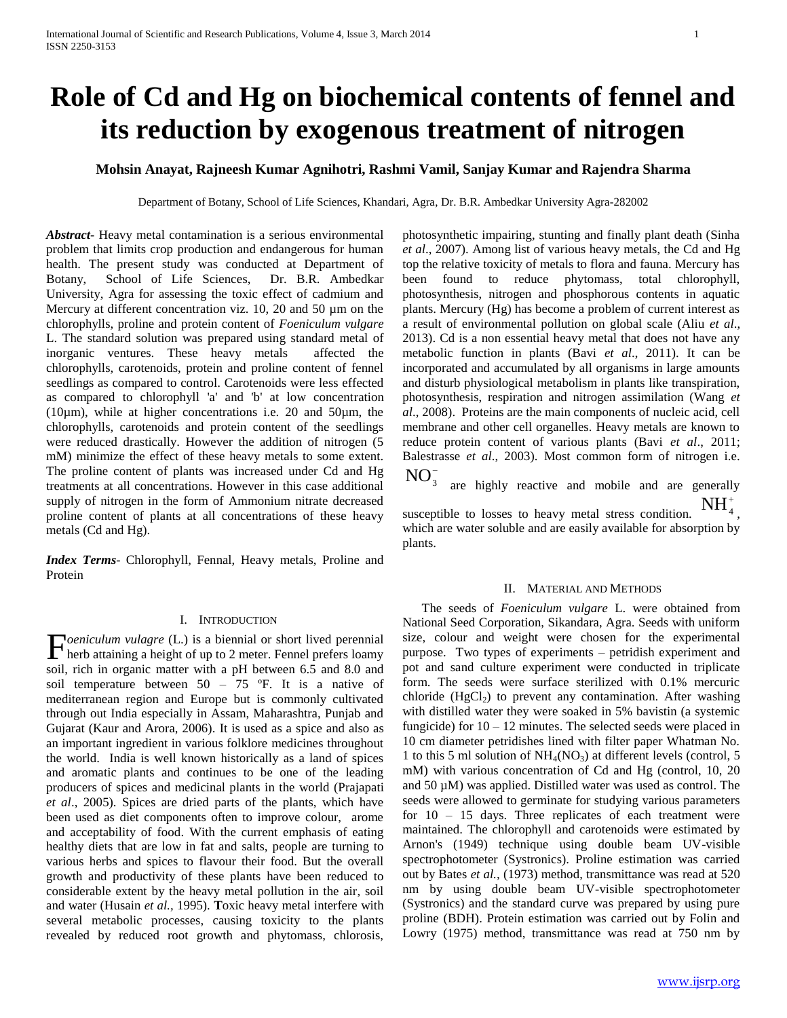# **Role of Cd and Hg on biochemical contents of fennel and its reduction by exogenous treatment of nitrogen**

## **Mohsin Anayat, Rajneesh Kumar Agnihotri, Rashmi Vamil, Sanjay Kumar and Rajendra Sharma**

Department of Botany, School of Life Sciences, Khandari, Agra, Dr. B.R. Ambedkar University Agra-282002

*Abstract***-** Heavy metal contamination is a serious environmental problem that limits crop production and endangerous for human health. The present study was conducted at Department of Botany, School of Life Sciences, Dr. B.R. Ambedkar University, Agra for assessing the toxic effect of cadmium and Mercury at different concentration viz. 10, 20 and 50  $\mu$ m on the chlorophylls, proline and protein content of *Foeniculum vulgare* L. The standard solution was prepared using standard metal of inorganic ventures. These heavy metals affected the chlorophylls, carotenoids, protein and proline content of fennel seedlings as compared to control. Carotenoids were less effected as compared to chlorophyll 'a' and 'b' at low concentration (10 $\mu$ m), while at higher concentrations i.e. 20 and 50 $\mu$ m, the chlorophylls, carotenoids and protein content of the seedlings were reduced drastically. However the addition of nitrogen (5 mM) minimize the effect of these heavy metals to some extent. The proline content of plants was increased under Cd and Hg treatments at all concentrations. However in this case additional supply of nitrogen in the form of Ammonium nitrate decreased proline content of plants at all concentrations of these heavy metals (Cd and Hg).

*Index Terms*- Chlorophyll, Fennal, Heavy metals, Proline and Protein

## I. INTRODUCTION

*oeniculum vulagre* (L.) is a biennial or short lived perennial **h**erb attaining a height of up to 2 meter. Fennel prefers loamy herb attaining a height of up to 2 meter. Fennel prefers loamy soil, rich in organic matter with a pH between 6.5 and 8.0 and soil temperature between  $50 - 75$  °F. It is a native of mediterranean region and Europe but is commonly cultivated through out India especially in Assam, Maharashtra, Punjab and Gujarat (Kaur and Arora, 2006). It is used as a spice and also as an important ingredient in various folklore medicines throughout the world. India is well known historically as a land of spices and aromatic plants and continues to be one of the leading producers of spices and medicinal plants in the world (Prajapati *et al*., 2005). Spices are dried parts of the plants, which have been used as diet components often to improve colour, arome and acceptability of food. With the current emphasis of eating healthy diets that are low in fat and salts, people are turning to various herbs and spices to flavour their food. But the overall growth and productivity of these plants have been reduced to considerable extent by the heavy metal pollution in the air, soil and water (Husain *et al.,* 1995). **T**oxic heavy metal interfere with several metabolic processes, causing toxicity to the plants revealed by reduced root growth and phytomass, chlorosis,

photosynthetic impairing, stunting and finally plant death (Sinha *et al*., 2007). Among list of various heavy metals, the Cd and Hg top the relative toxicity of metals to flora and fauna. Mercury has been found to reduce phytomass, total chlorophyll, photosynthesis, nitrogen and phosphorous contents in aquatic plants. Mercury (Hg) has become a problem of current interest as a result of environmental pollution on global scale (Aliu *et al*., 2013). Cd is a non essential heavy metal that does not have any metabolic function in plants (Bavi *et al*., 2011). It can be incorporated and accumulated by all organisms in large amounts and disturb physiological metabolism in plants like transpiration, photosynthesis, respiration and nitrogen assimilation (Wang *et al*., 2008). Proteins are the main components of nucleic acid, cell membrane and other cell organelles. Heavy metals are known to reduce protein content of various plants (Bavi *et al*., 2011; Balestrasse *et al*., 2003). Most common form of nitrogen i.e.  $NO<sub>3</sub>$ 

are highly reactive and mobile and are generally susceptible to losses to heavy metal stress condition.  $NH_{4}^{+}$ which are water soluble and are easily available for absorption by plants.

#### II. MATERIAL AND METHODS

 The seeds of *Foeniculum vulgare* L. were obtained from National Seed Corporation, Sikandara, Agra. Seeds with uniform size, colour and weight were chosen for the experimental purpose. Two types of experiments – petridish experiment and pot and sand culture experiment were conducted in triplicate form. The seeds were surface sterilized with 0.1% mercuric chloride  $(HgCl<sub>2</sub>)$  to prevent any contamination. After washing with distilled water they were soaked in 5% bavistin (a systemic fungicide) for  $10 - 12$  minutes. The selected seeds were placed in 10 cm diameter petridishes lined with filter paper Whatman No. 1 to this 5 ml solution of  $NH<sub>4</sub>(NO<sub>3</sub>)$  at different levels (control, 5 mM) with various concentration of Cd and Hg (control, 10, 20 and 50 µM) was applied. Distilled water was used as control. The seeds were allowed to germinate for studying various parameters for 10 – 15 days. Three replicates of each treatment were maintained. The chlorophyll and carotenoids were estimated by Arnon's (1949) technique using double beam UV-visible spectrophotometer (Systronics). Proline estimation was carried out by Bates *et al.,* (1973) method, transmittance was read at 520 nm by using double beam UV-visible spectrophotometer (Systronics) and the standard curve was prepared by using pure proline (BDH). Protein estimation was carried out by Folin and Lowry (1975) method, transmittance was read at 750 nm by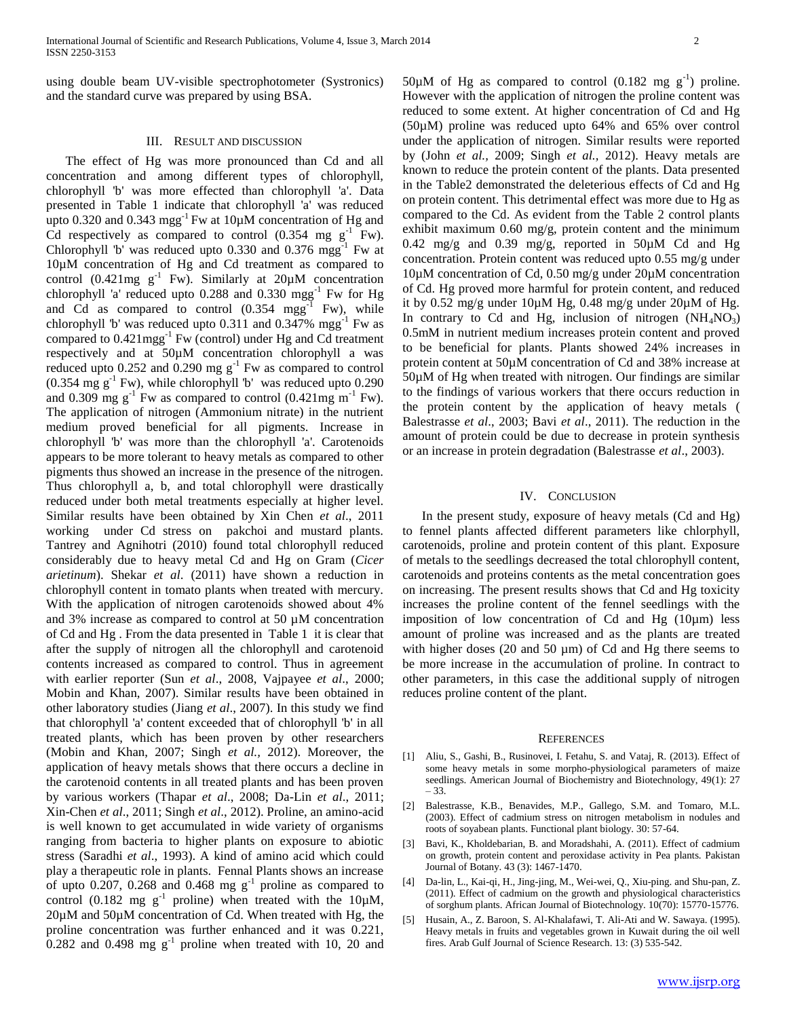using double beam UV-visible spectrophotometer (Systronics) and the standard curve was prepared by using BSA.

#### III. RESULT AND DISCUSSION

 The effect of Hg was more pronounced than Cd and all concentration and among different types of chlorophyll, chlorophyll 'b' was more effected than chlorophyll 'a'. Data presented in Table 1 indicate that chlorophyll 'a' was reduced upto 0.320 and 0.343 mgg<sup>-1</sup> Fw at  $10\mu$ M concentration of Hg and Cd respectively as compared to control  $(0.354 \text{ mg g}^{-1} \text{Fw})$ . Chlorophyll 'b' was reduced upto  $0.330$  and  $0.376$  mgg<sup>-1</sup> Fw at 10µM concentration of Hg and Cd treatment as compared to control  $(0.421mg g<sup>-1</sup> Fw)$ . Similarly at  $20\mu M$  concentration chlorophyll 'a' reduced upto  $0.288$  and  $0.330$  mgg<sup>-1</sup> Fw for Hg and Cd as compared to control  $(0.354 \text{ mgg}^{-1} \text{ Fw})$ , while chlorophyll 'b' was reduced upto  $0.311$  and  $0.347\%$  mgg<sup>-1</sup> Fw as compared to 0.421mgg-1 Fw (control) under Hg and Cd treatment respectively and at 50µM concentration chlorophyll a was reduced upto  $0.252$  and  $0.290$  mg  $g^{-1}$  Fw as compared to control  $(0.354 \text{ mg g}^{-1} \text{ Fw})$ , while chlorophyll 'b' was reduced upto 0.290 and 0.309 mg  $g^{-1}$  Fw as compared to control (0.421mg m<sup>-1</sup> Fw). The application of nitrogen (Ammonium nitrate) in the nutrient medium proved beneficial for all pigments. Increase in chlorophyll 'b' was more than the chlorophyll 'a'. Carotenoids appears to be more tolerant to heavy metals as compared to other pigments thus showed an increase in the presence of the nitrogen. Thus chlorophyll a, b, and total chlorophyll were drastically reduced under both metal treatments especially at higher level. Similar results have been obtained by Xin Chen *et al*., 2011 working under Cd stress on pakchoi and mustard plants. Tantrey and Agnihotri (2010) found total chlorophyll reduced considerably due to heavy metal Cd and Hg on Gram (*Cicer arietinum*). Shekar *et al*. (2011) have shown a reduction in chlorophyll content in tomato plants when treated with mercury. With the application of nitrogen carotenoids showed about 4% and 3% increase as compared to control at 50 µM concentration of Cd and Hg . From the data presented in Table 1 it is clear that after the supply of nitrogen all the chlorophyll and carotenoid contents increased as compared to control. Thus in agreement with earlier reporter (Sun *et al*., 2008, Vajpayee *et al*., 2000; Mobin and Khan, 2007). Similar results have been obtained in other laboratory studies (Jiang *et al*., 2007). In this study we find that chlorophyll 'a' content exceeded that of chlorophyll 'b' in all treated plants, which has been proven by other researchers (Mobin and Khan, 2007; Singh *et al.,* 2012). Moreover, the application of heavy metals shows that there occurs a decline in the carotenoid contents in all treated plants and has been proven by various workers (Thapar *et al*., 2008; Da-Lin *et al*., 2011; Xin-Chen *et al*., 2011; Singh *et al*., 2012). Proline, an amino-acid is well known to get accumulated in wide variety of organisms ranging from bacteria to higher plants on exposure to abiotic stress (Saradhi *et al*., 1993). A kind of amino acid which could play a therapeutic role in plants. Fennal Plants shows an increase of upto 0.207, 0.268 and 0.468 mg  $g^{-1}$  proline as compared to control (0.182 mg  $g^{-1}$  proline) when treated with the 10 $\mu$ M,  $20\mu$ M and  $50\mu$ M concentration of Cd. When treated with Hg, the proline concentration was further enhanced and it was 0.221,  $0.282$  and 0.498 mg  $g^{-1}$  proline when treated with 10, 20 and

50 $\mu$ M of Hg as compared to control (0.182 mg g<sup>-1</sup>) proline. However with the application of nitrogen the proline content was reduced to some extent. At higher concentration of Cd and Hg (50µM) proline was reduced upto 64% and 65% over control under the application of nitrogen. Similar results were reported by (John *et al.,* 2009; Singh *et al.,* 2012). Heavy metals are known to reduce the protein content of the plants. Data presented in the Table2 demonstrated the deleterious effects of Cd and Hg on protein content. This detrimental effect was more due to Hg as compared to the Cd. As evident from the Table 2 control plants exhibit maximum 0.60 mg/g, protein content and the minimum 0.42 mg/g and 0.39 mg/g, reported in 50µM Cd and Hg concentration. Protein content was reduced upto 0.55 mg/g under 10µM concentration of Cd, 0.50 mg/g under 20µM concentration of Cd. Hg proved more harmful for protein content, and reduced it by 0.52 mg/g under 10µM Hg, 0.48 mg/g under 20µM of Hg. In contrary to Cd and Hg, inclusion of nitrogen  $(NH_4NO_3)$ 0.5mM in nutrient medium increases protein content and proved to be beneficial for plants. Plants showed 24% increases in protein content at 50µM concentration of Cd and 38% increase at 50µM of Hg when treated with nitrogen. Our findings are similar to the findings of various workers that there occurs reduction in the protein content by the application of heavy metals ( Balestrasse *et al*., 2003; Bavi *et al*., 2011). The reduction in the amount of protein could be due to decrease in protein synthesis or an increase in protein degradation (Balestrasse *et al*., 2003).

## IV. CONCLUSION

 In the present study, exposure of heavy metals (Cd and Hg) to fennel plants affected different parameters like chlorphyll, carotenoids, proline and protein content of this plant. Exposure of metals to the seedlings decreased the total chlorophyll content, carotenoids and proteins contents as the metal concentration goes on increasing. The present results shows that Cd and Hg toxicity increases the proline content of the fennel seedlings with the imposition of low concentration of Cd and Hg (10µm) less amount of proline was increased and as the plants are treated with higher doses (20 and 50  $\mu$ m) of Cd and Hg there seems to be more increase in the accumulation of proline. In contract to other parameters, in this case the additional supply of nitrogen reduces proline content of the plant.

#### **REFERENCES**

- [1] Aliu, S., Gashi, B., Rusinovei, I. Fetahu, S. and Vataj, R. (2013). Effect of some heavy metals in some morpho-physiological parameters of maize seedlings. American Journal of Biochemistry and Biotechnology, 49(1): 27 – 33.
- [2] Balestrasse, K.B., Benavides, M.P., Gallego, S.M. and Tomaro, M.L. (2003). Effect of cadmium stress on nitrogen metabolism in nodules and roots of soyabean plants. Functional plant biology. 30: 57-64.
- [3] Bavi, K., Kholdebarian, B. and Moradshahi, A. (2011). Effect of cadmium on growth, protein content and peroxidase activity in Pea plants. Pakistan Journal of Botany. 43 (3): 1467-1470.
- [4] Da-lin, L., Kai-qi, H., Jing-jing, M., Wei-wei, Q., Xiu-ping. and Shu-pan, Z. (2011). Effect of cadmium on the growth and physiological characteristics of sorghum plants. African Journal of Biotechnology. 10(70): 15770-15776.
- [5] Husain, A., Z. Baroon, S. Al-Khalafawi, T. Ali-Ati and W. Sawaya. (1995). Heavy metals in fruits and vegetables grown in Kuwait during the oil well fires. Arab Gulf Journal of Science Research. 13: (3) 535-542.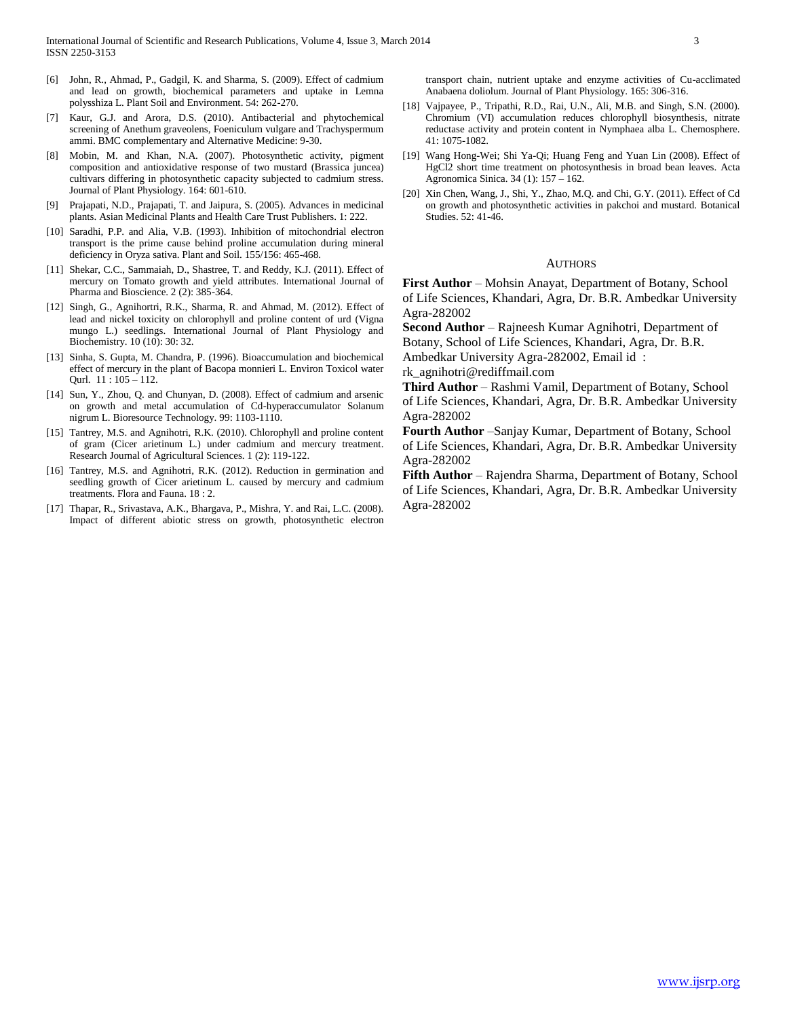- [6] John, R., Ahmad, P., Gadgil, K. and Sharma, S. (2009). Effect of cadmium and lead on growth, biochemical parameters and uptake in Lemna polysshiza L. Plant Soil and Environment. 54: 262-270.
- [7] Kaur, G.J. and Arora, D.S. (2010). Antibacterial and phytochemical screening of Anethum graveolens, Foeniculum vulgare and Trachyspermum ammi. BMC complementary and Alternative Medicine: 9-30.
- [8] Mobin, M. and Khan, N.A. (2007). Photosynthetic activity, pigment composition and antioxidative response of two mustard (Brassica juncea) cultivars differing in photosynthetic capacity subjected to cadmium stress. Journal of Plant Physiology. 164: 601-610.
- [9] Prajapati, N.D., Prajapati, T. and Jaipura, S. (2005). Advances in medicinal plants. Asian Medicinal Plants and Health Care Trust Publishers. 1: 222.
- [10] Saradhi, P.P. and Alia, V.B. (1993). Inhibition of mitochondrial electron transport is the prime cause behind proline accumulation during mineral deficiency in Oryza sativa. Plant and Soil. 155/156: 465-468.
- [11] Shekar, C.C., Sammaiah, D., Shastree, T. and Reddy, K.J. (2011). Effect of mercury on Tomato growth and yield attributes. International Journal of Pharma and Bioscience. 2 (2): 385-364.
- [12] Singh, G., Agnihortri, R.K., Sharma, R. and Ahmad, M. (2012). Effect of lead and nickel toxicity on chlorophyll and proline content of urd (Vigna mungo L.) seedlings. International Journal of Plant Physiology and Biochemistry. 10 (10): 30: 32.
- [13] Sinha, S. Gupta, M. Chandra, P. (1996). Bioaccumulation and biochemical effect of mercury in the plant of Bacopa monnieri L. Environ Toxicol water Qurl. 11 : 105 – 112.
- [14] Sun, Y., Zhou, Q. and Chunyan, D. (2008). Effect of cadmium and arsenic on growth and metal accumulation of Cd-hyperaccumulator Solanum nigrum L. Bioresource Technology. 99: 1103-1110.
- [15] Tantrey, M.S. and Agnihotri, R.K. (2010). Chlorophyll and proline content of gram (Cicer arietinum L.) under cadmium and mercury treatment. Research Journal of Agricultural Sciences. 1 (2): 119-122.
- [16] Tantrey, M.S. and Agnihotri, R.K. (2012). Reduction in germination and seedling growth of Cicer arietinum L. caused by mercury and cadmium treatments. Flora and Fauna. 18 : 2.
- [17] Thapar, R., Srivastava, A.K., Bhargava, P., Mishra, Y. and Rai, L.C. (2008). Impact of different abiotic stress on growth, photosynthetic electron

transport chain, nutrient uptake and enzyme activities of Cu-acclimated Anabaena doliolum. Journal of Plant Physiology. 165: 306-316.

- [18] Vajpayee, P., Tripathi, R.D., Rai, U.N., Ali, M.B. and Singh, S.N. (2000). Chromium (VI) accumulation reduces chlorophyll biosynthesis, nitrate reductase activity and protein content in Nymphaea alba L. Chemosphere. 41: 1075-1082.
- [19] Wang Hong-Wei; Shi Ya-Qi; Huang Feng and Yuan Lin (2008). Effect of HgCl2 short time treatment on photosynthesis in broad bean leaves. Acta Agronomica Sinica. 34 (1): 157 – 162.
- [20] Xin Chen, Wang, J., Shi, Y., Zhao, M.Q. and Chi, G.Y. (2011). Effect of Cd on growth and photosynthetic activities in pakchoi and mustard. Botanical Studies. 52: 41-46.

#### AUTHORS

**First Author** – Mohsin Anayat, Department of Botany, School of Life Sciences, Khandari, Agra, Dr. B.R. Ambedkar University Agra-282002

**Second Author** – Rajneesh Kumar Agnihotri, Department of Botany, School of Life Sciences, Khandari, Agra, Dr. B.R. Ambedkar University Agra-282002, Email id :

rk\_agnihotri@rediffmail.com

**Third Author** – Rashmi Vamil, Department of Botany, School of Life Sciences, Khandari, Agra, Dr. B.R. Ambedkar University Agra-282002

**Fourth Author** –Sanjay Kumar, Department of Botany, School of Life Sciences, Khandari, Agra, Dr. B.R. Ambedkar University Agra-282002

**Fifth Author** – Rajendra Sharma, Department of Botany, School of Life Sciences, Khandari, Agra, Dr. B.R. Ambedkar University Agra-282002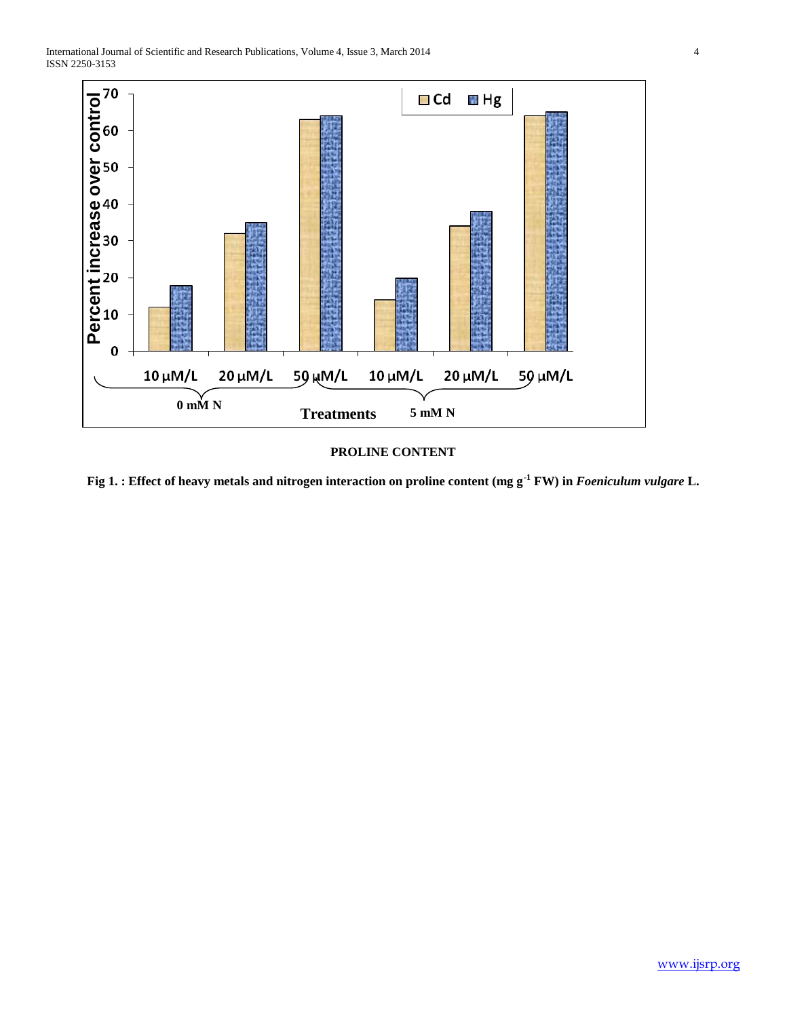

# **PROLINE CONTENT**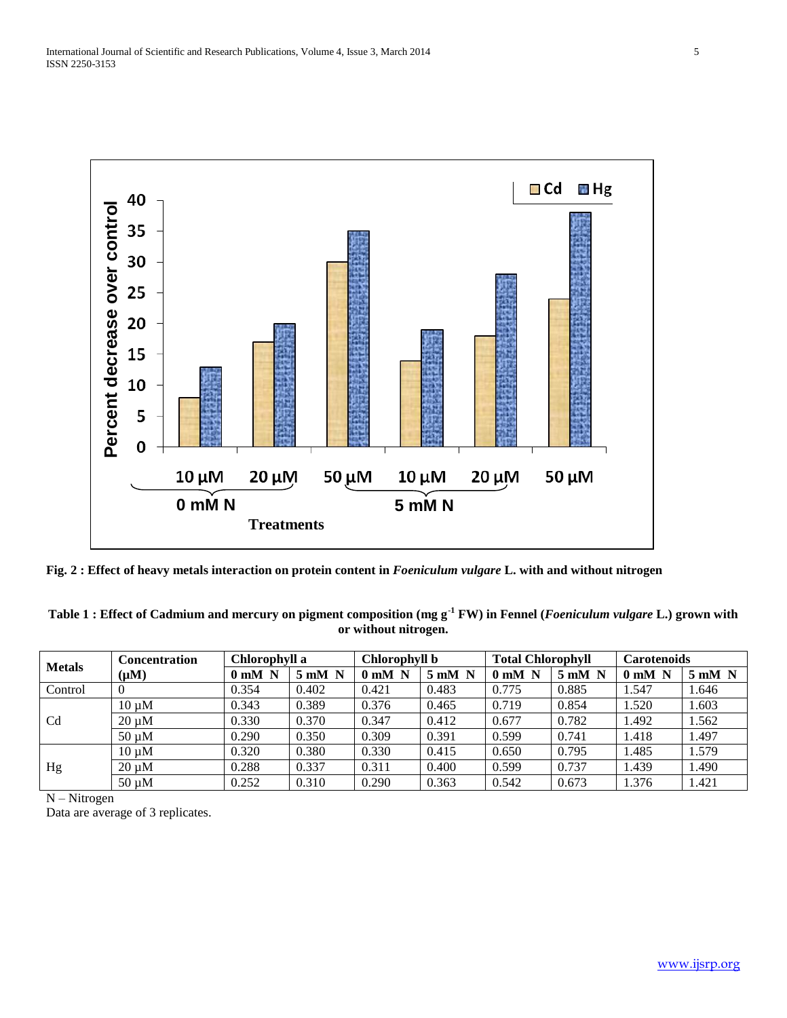

**Fig. 2 : Effect of heavy metals interaction on protein content in** *Foeniculum vulgare* **L. with and without nitrogen**

| Table 1 : Effect of Cadmium and mercury on pigment composition (mg g <sup>-1</sup> FW) in Fennel ( <i>Foeniculum vulgare</i> L.) grown with |  |
|---------------------------------------------------------------------------------------------------------------------------------------------|--|
| or without nitrogen.                                                                                                                        |  |

| <b>Metals</b>  | <b>Concentration</b> | Chlorophyll a |               | Chlorophyll b                 |                  | <b>Total Chlorophyll</b> |                  | <b>Carotenoids</b> |                  |
|----------------|----------------------|---------------|---------------|-------------------------------|------------------|--------------------------|------------------|--------------------|------------------|
|                | $(\mu M)$            | $0$ mM $\,$ N | $5$ mM $\,$ N | 0 <sub>m</sub> M <sub>N</sub> | $5 \text{ mM}$ N | $0$ mM $\,$ N            | $5 \text{ mM}$ N | $0 \text{ mM} N$   | $5 \text{ mM}$ N |
| Control        | $\theta$             | 0.354         | 0.402         | 0.421                         | 0.483            | 0.775                    | 0.885            | 1.547              | 1.646            |
| C <sub>d</sub> | $10 \mu M$           | 0.343         | 0.389         | 0.376                         | 0.465            | 0.719                    | 0.854            | 1.520              | 1.603            |
|                | $20 \mu M$           | 0.330         | 0.370         | 0.347                         | 0.412            | 0.677                    | 0.782            | 1.492              | 1.562            |
|                | $50 \mu M$           | 0.290         | 0.350         | 0.309                         | 0.391            | 0.599                    | 0.741            | 1.418              | 1.497            |
| Hg             | $10 \mu M$           | 0.320         | 0.380         | 0.330                         | 0.415            | 0.650                    | 0.795            | 1.485              | 1.579            |
|                | $20 \mu M$           | 0.288         | 0.337         | 0.311                         | 0.400            | 0.599                    | 0.737            | 1.439              | 1.490            |
|                | $50 \mu M$           | 0.252         | 0.310         | 0.290                         | 0.363            | 0.542                    | 0.673            | 1.376              | 1.421            |

N – Nitrogen